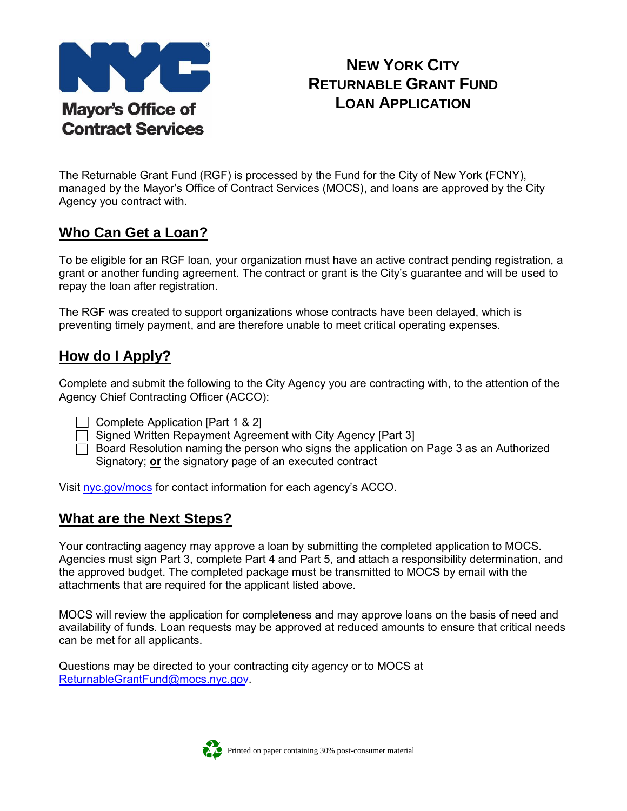

# **NEW YORK CITY RETURNABLE GRANT FUND LOAN APPLICATION**

The Returnable Grant Fund (RGF) is processed by the Fund for the City of New York (FCNY), managed by the Mayor's Office of Contract Services (MOCS), and loans are approved by the City Agency you contract with.

# **Who Can Get a Loan?**

To be eligible for an RGF loan, your organization must have an active contract pending registration, a grant or another funding agreement. The contract or grant is the City's guarantee and will be used to repay the loan after registration.

The RGF was created to support organizations whose contracts have been delayed, which is preventing timely payment, and are therefore unable to meet critical operating expenses.

## **How do I Apply?**

Complete and submit the following to the City Agency you are contracting with, to the attention of the Agency Chief Contracting Officer (ACCO):

 $\Box$  Complete Application [Part 1 & 2]

□ Signed Written Repayment Agreement with City Agency [Part 3]

 $\Box$  Board Resolution naming the person who signs the application on Page 3 as an Authorized Signatory; **or** the signatory page of an executed contract

Visit [nyc.gov/mocs](http://www1.nyc.gov/site/mocs/contract/contracting-agencies.page) for contact information for each agency's ACCO.

### **What are the Next Steps?**

Your contracting aagency may approve a loan by submitting the completed application to MOCS. Agencies must sign Part 3, complete Part 4 and Part 5, and attach a responsibility determination, and the approved budget. The completed package must be transmitted to MOCS by email with the attachments that are required for the applicant listed above.

MOCS will review the application for completeness and may approve loans on the basis of need and availability of funds. Loan requests may be approved at reduced amounts to ensure that critical needs can be met for all applicants.

Questions may be directed to your contracting city agency or to MOCS at [ReturnableGrantFund@mocs.nyc.gov](mailto:returnablegrantfund@cityhall.nyc.gov).

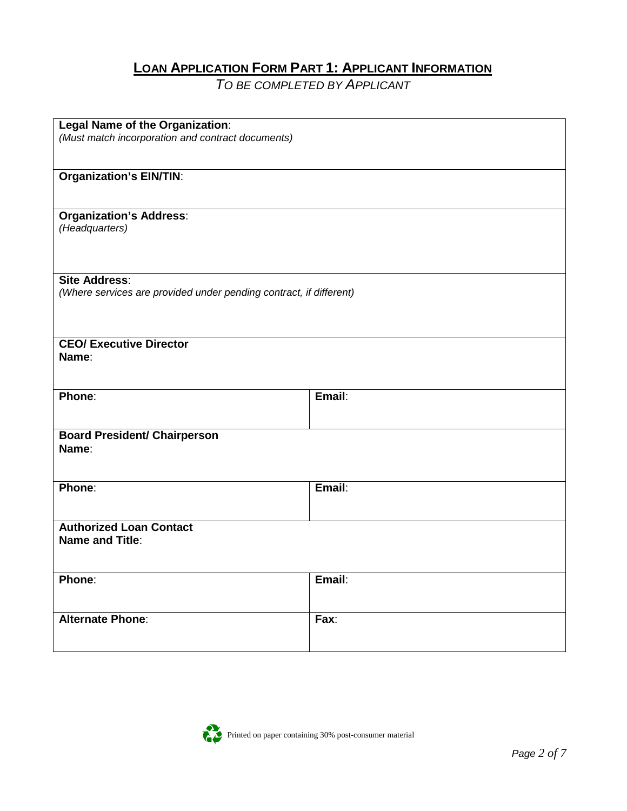## **LOAN APPLICATION FORM PART 1: APPLICANT INFORMATION**

*TO BE COMPLETED BY APPLICANT*

| Legal Name of the Organization:                                    |        |
|--------------------------------------------------------------------|--------|
| (Must match incorporation and contract documents)                  |        |
|                                                                    |        |
|                                                                    |        |
| <b>Organization's EIN/TIN:</b>                                     |        |
|                                                                    |        |
|                                                                    |        |
| <b>Organization's Address:</b>                                     |        |
| (Headquarters)                                                     |        |
|                                                                    |        |
|                                                                    |        |
|                                                                    |        |
| <b>Site Address:</b>                                               |        |
| (Where services are provided under pending contract, if different) |        |
|                                                                    |        |
|                                                                    |        |
|                                                                    |        |
| <b>CEO/ Executive Director</b>                                     |        |
|                                                                    |        |
| Name:                                                              |        |
|                                                                    |        |
|                                                                    |        |
| Phone:                                                             | Email: |
|                                                                    |        |
|                                                                    |        |
| <b>Board President/ Chairperson</b>                                |        |
| Name:                                                              |        |
|                                                                    |        |
|                                                                    |        |
| Phone:                                                             | Email: |
|                                                                    |        |
|                                                                    |        |
| <b>Authorized Loan Contact</b>                                     |        |
|                                                                    |        |
| <b>Name and Title:</b>                                             |        |
|                                                                    |        |
|                                                                    |        |
| Phone:                                                             | Email: |
|                                                                    |        |
|                                                                    |        |
| <b>Alternate Phone:</b>                                            | Fax:   |
|                                                                    |        |
|                                                                    |        |

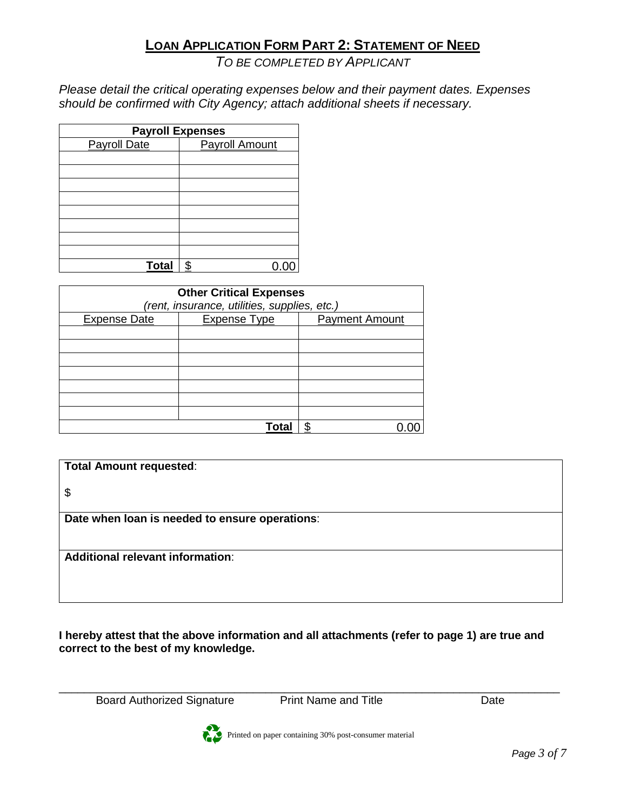# **LOAN APPLICATION FORM PART 2: STATEMENT OF NEED**

#### *TO BE COMPLETED BY APPLICANT*

*Please detail the critical operating expenses below and their payment dates. Expenses should be confirmed with City Agency; attach additional sheets if necessary.*

| <b>Payroll Expenses</b> |                       |  |
|-------------------------|-----------------------|--|
| <b>Payroll Date</b>     | <b>Payroll Amount</b> |  |
|                         |                       |  |
|                         |                       |  |
|                         |                       |  |
|                         |                       |  |
|                         |                       |  |
|                         |                       |  |
|                         |                       |  |
|                         |                       |  |
| <b>Total</b>            | ፍ                     |  |

| <b>Other Critical Expenses</b><br>(rent, insurance, utilities, supplies, etc.) |                     |                       |
|--------------------------------------------------------------------------------|---------------------|-----------------------|
| <b>Expense Date</b>                                                            | <b>Expense Type</b> | <b>Payment Amount</b> |
|                                                                                |                     |                       |
|                                                                                |                     |                       |
|                                                                                |                     |                       |
|                                                                                |                     |                       |
|                                                                                |                     |                       |
|                                                                                |                     |                       |
|                                                                                |                     |                       |
|                                                                                | Tota                |                       |

| <b>Total Amount requested:</b>                 |  |
|------------------------------------------------|--|
| \$                                             |  |
| Date when loan is needed to ensure operations: |  |
|                                                |  |
| <b>Additional relevant information:</b>        |  |
|                                                |  |
|                                                |  |

**I hereby attest that the above information and all attachments (refer to page 1) are true and correct to the best of my knowledge.** 

Board Authorized Signature Print Name and Title **Print Name and Title** Date

\_\_\_\_\_\_\_\_\_\_\_\_\_\_\_\_\_\_\_\_\_\_\_\_\_\_\_\_\_\_\_\_\_\_\_\_\_\_\_\_\_\_\_\_\_\_\_\_\_\_\_\_\_\_\_\_\_\_\_\_\_\_\_\_\_\_\_\_\_\_\_\_\_\_\_\_\_\_\_\_



Printed on paper containing 30% post-consumer material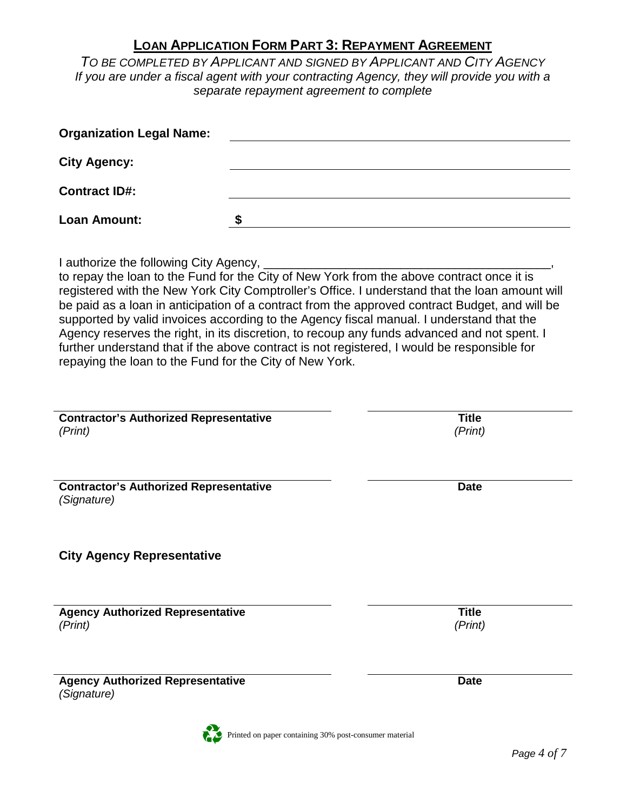### **LOAN APPLICATION FORM PART 3: REPAYMENT AGREEMENT**

*TO BE COMPLETED BY APPLICANT AND SIGNED BY APPLICANT AND CITY AGENCY If you are under a fiscal agent with your contracting Agency, they will provide you with a separate repayment agreement to complete*

| <b>Organization Legal Name:</b> |  |
|---------------------------------|--|
| <b>City Agency:</b>             |  |
| <b>Contract ID#:</b>            |  |
| Loan Amount:                    |  |

I authorize the following City Agency, \_

to repay the loan to the Fund for the City of New York from the above contract once it is registered with the New York City Comptroller's Office. I understand that the loan amount will be paid as a loan in anticipation of a contract from the approved contract Budget, and will be supported by valid invoices according to the Agency fiscal manual. I understand that the Agency reserves the right, in its discretion, to recoup any funds advanced and not spent. I further understand that if the above contract is not registered, I would be responsible for repaying the loan to the Fund for the City of New York.

| <b>Contractor's Authorized Representative</b><br>(Print)     | <b>Title</b><br>(Print) |
|--------------------------------------------------------------|-------------------------|
|                                                              |                         |
| <b>Contractor's Authorized Representative</b><br>(Signature) | <b>Date</b>             |
| <b>City Agency Representative</b>                            |                         |
| <b>Agency Authorized Representative</b><br>(Print)           | <b>Title</b><br>(Print) |
| <b>Agency Authorized Representative</b><br>(Signature)       | <b>Date</b>             |

Printed on paper containing 30% post-consumer material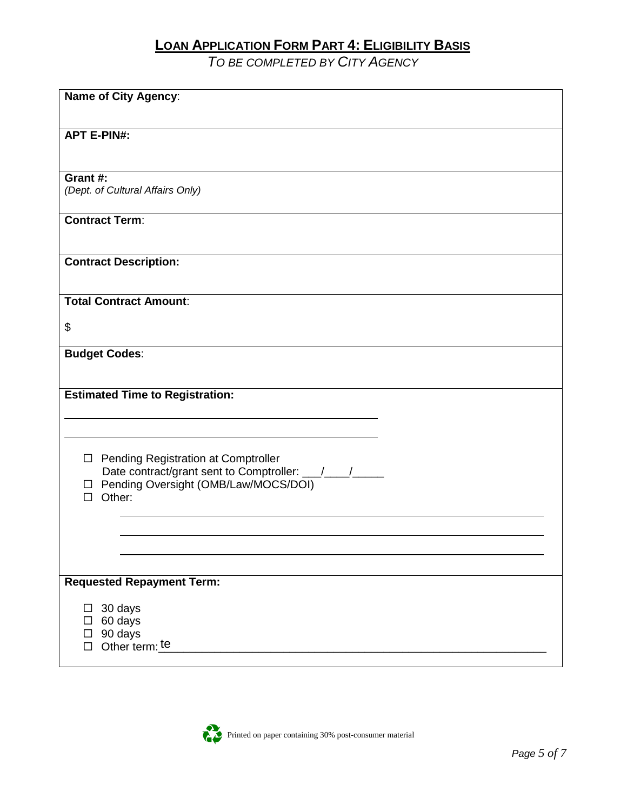## **LOAN APPLICATION FORM PART 4: ELIGIBILITY BASIS**

*TO BE COMPLETED BY CITY AGENCY*

| <b>Name of City Agency:</b>            |
|----------------------------------------|
|                                        |
|                                        |
| <b>APT E-PIN#:</b>                     |
|                                        |
| Grant #:                               |
| (Dept. of Cultural Affairs Only)       |
|                                        |
| <b>Contract Term:</b>                  |
|                                        |
|                                        |
| <b>Contract Description:</b>           |
|                                        |
| <b>Total Contract Amount:</b>          |
|                                        |
| \$                                     |
| <b>Budget Codes:</b>                   |
|                                        |
|                                        |
| <b>Estimated Time to Registration:</b> |
|                                        |
|                                        |
|                                        |
| □ Pending Registration at Comptroller  |
| □ Pending Oversight (OMB/Law/MOCS/DOI) |
| $\Box$ Other:                          |
|                                        |
|                                        |
|                                        |
|                                        |
| <b>Requested Repayment Term:</b>       |
|                                        |
| $\Box$ 30 days                         |
| 60 days                                |
| 90 days<br>Other term: te              |
|                                        |

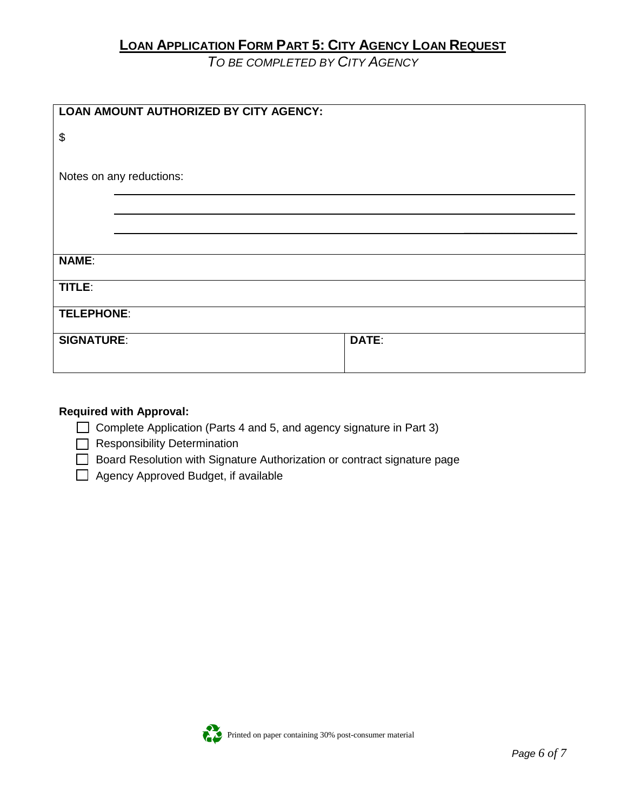# **LOAN APPLICATION FORM PART 5: CITY AGENCY LOAN REQUEST**

*TO BE COMPLETED BY CITY AGENCY*

| <b>LOAN AMOUNT AUTHORIZED BY CITY AGENCY:</b> |       |
|-----------------------------------------------|-------|
|                                               |       |
| \$                                            |       |
|                                               |       |
|                                               |       |
| Notes on any reductions:                      |       |
|                                               |       |
|                                               |       |
|                                               |       |
|                                               |       |
|                                               |       |
| <b>NAME:</b>                                  |       |
|                                               |       |
| TITLE:                                        |       |
|                                               |       |
| <b>TELEPHONE:</b>                             |       |
|                                               |       |
| <b>SIGNATURE:</b>                             | DATE: |
|                                               |       |
|                                               |       |

#### **Required with Approval:**

 $\Box$  Complete Application (Parts 4 and 5, and agency signature in Part 3)

Responsibility Determination

Board Resolution with Signature Authorization or contract signature page

Agency Approved Budget, if available